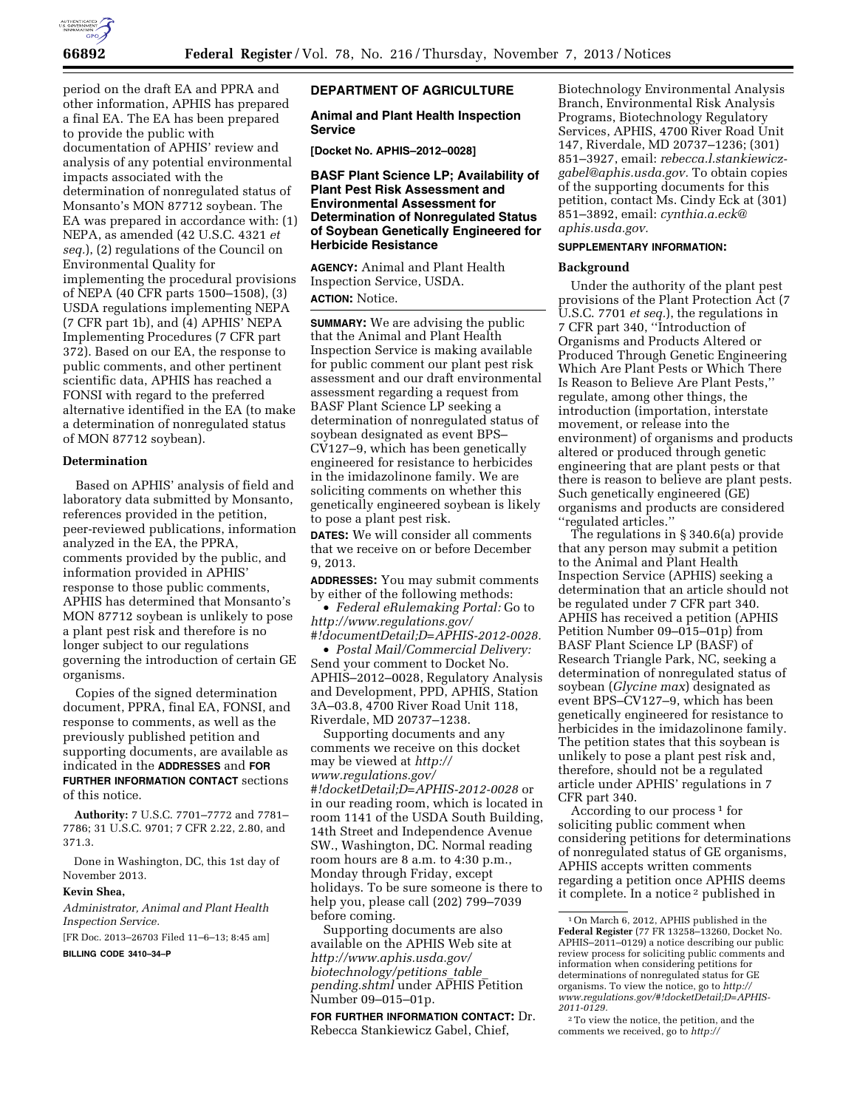

period on the draft EA and PPRA and other information, APHIS has prepared a final EA. The EA has been prepared to provide the public with documentation of APHIS' review and analysis of any potential environmental impacts associated with the determination of nonregulated status of Monsanto's MON 87712 soybean. The EA was prepared in accordance with: (1) NEPA, as amended (42 U.S.C. 4321 *et seq.*), (2) regulations of the Council on Environmental Quality for implementing the procedural provisions of NEPA (40 CFR parts 1500–1508), (3) USDA regulations implementing NEPA (7 CFR part 1b), and (4) APHIS' NEPA Implementing Procedures (7 CFR part 372). Based on our EA, the response to public comments, and other pertinent scientific data, APHIS has reached a FONSI with regard to the preferred alternative identified in the EA (to make a determination of nonregulated status of MON 87712 soybean).

## **Determination**

Based on APHIS' analysis of field and laboratory data submitted by Monsanto, references provided in the petition, peer-reviewed publications, information analyzed in the EA, the PPRA, comments provided by the public, and information provided in APHIS' response to those public comments, APHIS has determined that Monsanto's MON 87712 soybean is unlikely to pose a plant pest risk and therefore is no longer subject to our regulations governing the introduction of certain GE organisms.

Copies of the signed determination document, PPRA, final EA, FONSI, and response to comments, as well as the previously published petition and supporting documents, are available as indicated in the **ADDRESSES** and **FOR FURTHER INFORMATION CONTACT** sections of this notice.

**Authority:** 7 U.S.C. 7701–7772 and 7781– 7786; 31 U.S.C. 9701; 7 CFR 2.22, 2.80, and 371.3.

Done in Washington, DC, this 1st day of November 2013.

## **Kevin Shea,**

*Administrator, Animal and Plant Health Inspection Service.* 

[FR Doc. 2013–26703 Filed 11–6–13; 8:45 am] **BILLING CODE 3410–34–P** 

## **DEPARTMENT OF AGRICULTURE**

**Animal and Plant Health Inspection Service** 

**[Docket No. APHIS–2012–0028]** 

**BASF Plant Science LP; Availability of Plant Pest Risk Assessment and Environmental Assessment for Determination of Nonregulated Status of Soybean Genetically Engineered for Herbicide Resistance** 

**AGENCY:** Animal and Plant Health Inspection Service, USDA. **ACTION:** Notice.

**SUMMARY:** We are advising the public that the Animal and Plant Health Inspection Service is making available for public comment our plant pest risk assessment and our draft environmental assessment regarding a request from BASF Plant Science LP seeking a determination of nonregulated status of soybean designated as event BPS– CV127–9, which has been genetically engineered for resistance to herbicides in the imidazolinone family. We are soliciting comments on whether this genetically engineered soybean is likely to pose a plant pest risk.

**DATES:** We will consider all comments that we receive on or before December 9, 2013.

**ADDRESSES:** You may submit comments by either of the following methods:

• *Federal eRulemaking Portal:* Go to *[http://www.regulations.gov/](http://www.regulations.gov/#!documentDetail;D=APHIS-2012-0028) [#!documentDetail;D=APHIS-2012-0028.](http://www.regulations.gov/#!documentDetail;D=APHIS-2012-0028)* 

• *Postal Mail/Commercial Delivery:*  Send your comment to Docket No. APHIS–2012–0028, Regulatory Analysis and Development, PPD, APHIS, Station 3A–03.8, 4700 River Road Unit 118, Riverdale, MD 20737–1238.

Supporting documents and any comments we receive on this docket may be viewed at *[http://](http://www.regulations.gov/#!docketDetail;D=APHIS-2012-0028) [www.regulations.gov/](http://www.regulations.gov/#!docketDetail;D=APHIS-2012-0028) [#!docketDetail;D=APHIS-2012-0028](http://www.regulations.gov/#!docketDetail;D=APHIS-2012-0028)* or in our reading room, which is located in room 1141 of the USDA South Building, 14th Street and Independence Avenue SW., Washington, DC. Normal reading room hours are 8 a.m. to 4:30 p.m., Monday through Friday, except holidays. To be sure someone is there to help you, please call (202) 799–7039 before coming.

Supporting documents are also available on the APHIS Web site at *[http://www.aphis.usda.gov/](http://www.aphis.usda.gov/biotechnology/petitions_table_pending.shtml) [biotechnology/petitions](http://www.aphis.usda.gov/biotechnology/petitions_table_pending.shtml)*\_*table*\_ *[pending.shtml](http://www.aphis.usda.gov/biotechnology/petitions_table_pending.shtml)* under APHIS Petition Number 09–015–01p.

**FOR FURTHER INFORMATION CONTACT:** Dr. Rebecca Stankiewicz Gabel, Chief,

Biotechnology Environmental Analysis Branch, Environmental Risk Analysis Programs, Biotechnology Regulatory Services, APHIS, 4700 River Road Unit 147, Riverdale, MD 20737–1236; (301) 851–3927, email: *[rebecca.l.stankiewicz](mailto:rebecca.l.stankiewicz-gabel@aphis.usda.gov)[gabel@aphis.usda.gov.](mailto:rebecca.l.stankiewicz-gabel@aphis.usda.gov)* To obtain copies of the supporting documents for this petition, contact Ms. Cindy Eck at (301) 851–3892, email: *[cynthia.a.eck@](mailto:cynthia.a.eck@aphis.usda.gov) [aphis.usda.gov.](mailto:cynthia.a.eck@aphis.usda.gov)* 

# **SUPPLEMENTARY INFORMATION:**

#### **Background**

Under the authority of the plant pest provisions of the Plant Protection Act (7 U.S.C. 7701 *et seq.*), the regulations in 7 CFR part 340, ''Introduction of Organisms and Products Altered or Produced Through Genetic Engineering Which Are Plant Pests or Which There Is Reason to Believe Are Plant Pests,'' regulate, among other things, the introduction (importation, interstate movement, or release into the environment) of organisms and products altered or produced through genetic engineering that are plant pests or that there is reason to believe are plant pests. Such genetically engineered (GE) organisms and products are considered ''regulated articles.''

The regulations in § 340.6(a) provide that any person may submit a petition to the Animal and Plant Health Inspection Service (APHIS) seeking a determination that an article should not be regulated under 7 CFR part 340. APHIS has received a petition (APHIS Petition Number 09–015–01p) from BASF Plant Science LP (BASF) of Research Triangle Park, NC, seeking a determination of nonregulated status of soybean (*Glycine max*) designated as event BPS–CV127–9, which has been genetically engineered for resistance to herbicides in the imidazolinone family. The petition states that this soybean is unlikely to pose a plant pest risk and, therefore, should not be a regulated article under APHIS' regulations in 7 CFR part 340.

According to our process 1 for soliciting public comment when considering petitions for determinations of nonregulated status of GE organisms, APHIS accepts written comments regarding a petition once APHIS deems it complete. In a notice 2 published in

<sup>1</sup>On March 6, 2012, APHIS published in the **Federal Register** (77 FR 13258–13260, Docket No. APHIS–2011–0129) a notice describing our public review process for soliciting public comments and information when considering petitions for determinations of nonregulated status for GE organisms. To view the notice, go to *[http://](http://www.regulations.gov/#!docketDetail;D=APHIS-2011-0129) [www.regulations.gov/#!docketDetail;D=APHIS-](http://www.regulations.gov/#!docketDetail;D=APHIS-2011-0129)[2011-0129.](http://www.regulations.gov/#!docketDetail;D=APHIS-2011-0129)* 

<sup>2</sup>To view the notice, the petition, and the comments we received, go to *http://*